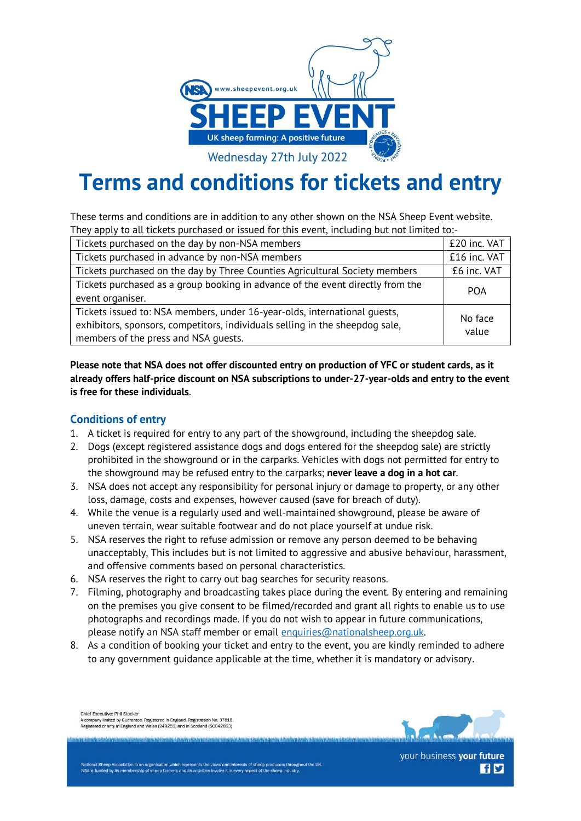

# **Terms and conditions for tickets and entry**

These terms and conditions are in addition to any other shown on the NSA Sheep Event website. They apply to all tickets purchased or issued for this event, including but not limited to:-

| Tickets purchased on the day by non-NSA members                                                                                                                                                   | £20 inc. VAT     |
|---------------------------------------------------------------------------------------------------------------------------------------------------------------------------------------------------|------------------|
| Tickets purchased in advance by non-NSA members                                                                                                                                                   | £16 inc. VAT     |
| Tickets purchased on the day by Three Counties Agricultural Society members                                                                                                                       | £6 inc. VAT      |
| Tickets purchased as a group booking in advance of the event directly from the<br><b>POA</b>                                                                                                      |                  |
| event organiser.                                                                                                                                                                                  |                  |
| Tickets issued to: NSA members, under 16-year-olds, international guests,<br>exhibitors, sponsors, competitors, individuals selling in the sheepdog sale,<br>members of the press and NSA quests. | No face<br>value |

**Please note that NSA does not offer discounted entry on production of YFC or student cards, as it already offers half-price discount on NSA subscriptions to under-27-year-olds and entry to the event is free for these individuals**.

## **Conditions of entry**

- 1. A ticket is required for entry to any part of the showground, including the sheepdog sale.
- 2. Dogs (except registered assistance dogs and dogs entered for the sheepdog sale) are strictly prohibited in the showground or in the carparks. Vehicles with dogs not permitted for entry to the showground may be refused entry to the carparks; **never leave a dog in a hot car**.
- 3. NSA does not accept any responsibility for personal injury or damage to property, or any other loss, damage, costs and expenses, however caused (save for breach of duty).
- 4. While the venue is a regularly used and well-maintained showground, please be aware of uneven terrain, wear suitable footwear and do not place yourself at undue risk.
- 5. NSA reserves the right to refuse admission or remove any person deemed to be behaving unacceptably, This includes but is not limited to aggressive and abusive behaviour, harassment, and offensive comments based on personal characteristics.
- 6. NSA reserves the right to carry out bag searches for security reasons.
- 7. Filming, photography and broadcasting takes place during the event. By entering and remaining on the premises you give consent to be filmed/recorded and grant all rights to enable us to use photographs and recordings made. If you do not wish to appear in future communications, please notify an NSA staff member or email [enquiries@nationalsheep.org.uk.](mailto:enquiries@nationalsheep.org.uk)
- 8. As a condition of booking your ticket and entry to the event, you are kindly reminded to adhere to any government guidance applicable at the time, whether it is mandatory or advisory.

Chief Executive: Phil Stocker<br>A company limited by Guarantee. Registered in England. Registration No. 37818 Registered charity in England and Wales (249255) and in Scotland (SC042853



your business your future **fly** 

tional Sheep Association is an organisation which represents the views and interests of sheep producers throughout the UK NSA is funded by its membership of sheep farmers and its activities involve it in every aspect of the sheep indust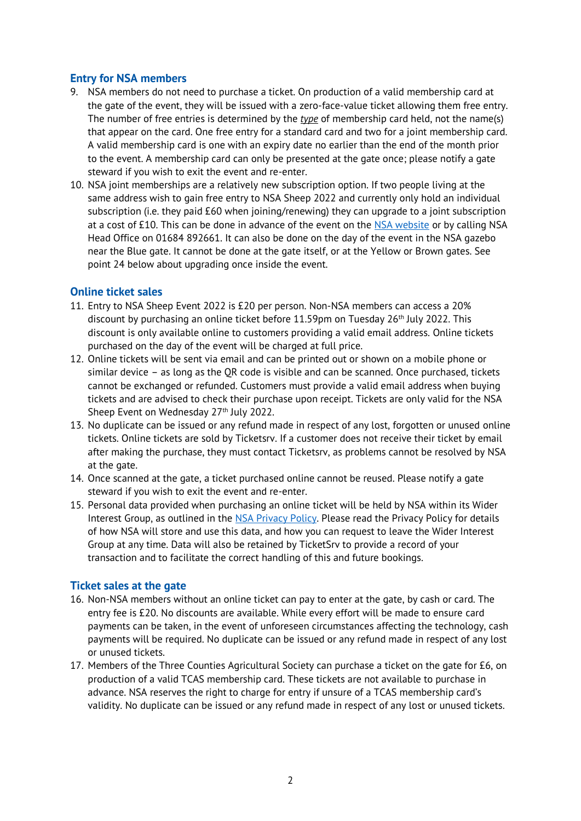## **Entry for NSA members**

- 9. NSA members do not need to purchase a ticket. On production of a valid membership card at the gate of the event, they will be issued with a zero-face-value ticket allowing them free entry. The number of free entries is determined by the *type* of membership card held, not the name(s) that appear on the card. One free entry for a standard card and two for a joint membership card. A valid membership card is one with an expiry date no earlier than the end of the month prior to the event. A membership card can only be presented at the gate once; please notify a gate steward if you wish to exit the event and re-enter.
- 10. NSA joint memberships are a relatively new subscription option. If two people living at the same address wish to gain free entry to NSA Sheep 2022 and currently only hold an individual subscription (i.e. they paid £60 when joining/renewing) they can upgrade to a joint subscription at a cost of £10. This can be done in advance of the event on the [NSA website](https://www.nationalsheep.org.uk/nsa-community/membership-administration/upgrade-your-membership/) or by calling NSA Head Office on 01684 892661. It can also be done on the day of the event in the NSA gazebo near the Blue gate. It cannot be done at the gate itself, or at the Yellow or Brown gates. See point 24 below about upgrading once inside the event.

#### **Online ticket sales**

- 11. Entry to NSA Sheep Event 2022 is £20 per person. Non-NSA members can access a 20% discount by purchasing an online ticket before  $11.59$ pm on Tuesday  $26<sup>th</sup>$  July 2022. This discount is only available online to customers providing a valid email address. Online tickets purchased on the day of the event will be charged at full price.
- 12. Online tickets will be sent via email and can be printed out or shown on a mobile phone or similar device – as long as the QR code is visible and can be scanned. Once purchased, tickets cannot be exchanged or refunded. Customers must provide a valid email address when buying tickets and are advised to check their purchase upon receipt. Tickets are only valid for the NSA Sheep Event on Wednesday 27<sup>th</sup> July 2022.
- 13. No duplicate can be issued or any refund made in respect of any lost, forgotten or unused online tickets. Online tickets are sold by Ticketsrv. If a customer does not receive their ticket by email after making the purchase, they must contact Ticketsrv, as problems cannot be resolved by NSA at the gate.
- 14. Once scanned at the gate, a ticket purchased online cannot be reused. Please notify a gate steward if you wish to exit the event and re-enter.
- 15. Personal data provided when purchasing an online ticket will be held by NSA within its Wider Interest Group, as outlined in the [NSA Privacy Policy.](http://www.nationalsheep.org.uk/privacypolicy) Please read the Privacy Policy for details of how NSA will store and use this data, and how you can request to leave the Wider Interest Group at any time. Data will also be retained by TicketSrv to provide a record of your transaction and to facilitate the correct handling of this and future bookings.

## **Ticket sales at the gate**

- 16. Non-NSA members without an online ticket can pay to enter at the gate, by cash or card. The entry fee is £20. No discounts are available. While every effort will be made to ensure card payments can be taken, in the event of unforeseen circumstances affecting the technology, cash payments will be required. No duplicate can be issued or any refund made in respect of any lost or unused tickets.
- 17. Members of the Three Counties Agricultural Society can purchase a ticket on the gate for £6, on production of a valid TCAS membership card. These tickets are not available to purchase in advance. NSA reserves the right to charge for entry if unsure of a TCAS membership card's validity. No duplicate can be issued or any refund made in respect of any lost or unused tickets.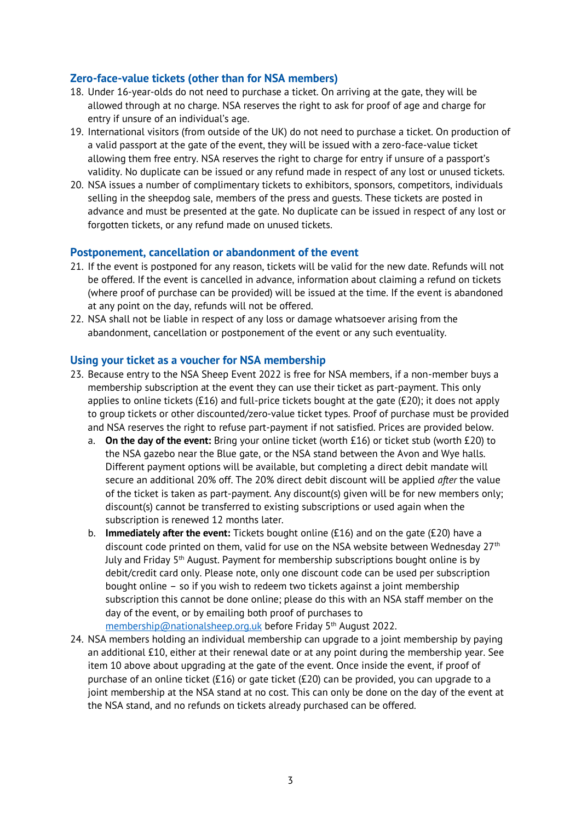#### **Zero-face-value tickets (other than for NSA members)**

- 18. Under 16-year-olds do not need to purchase a ticket. On arriving at the gate, they will be allowed through at no charge. NSA reserves the right to ask for proof of age and charge for entry if unsure of an individual's age.
- 19. International visitors (from outside of the UK) do not need to purchase a ticket. On production of a valid passport at the gate of the event, they will be issued with a zero-face-value ticket allowing them free entry. NSA reserves the right to charge for entry if unsure of a passport's validity. No duplicate can be issued or any refund made in respect of any lost or unused tickets.
- 20. NSA issues a number of complimentary tickets to exhibitors, sponsors, competitors, individuals selling in the sheepdog sale, members of the press and guests. These tickets are posted in advance and must be presented at the gate. No duplicate can be issued in respect of any lost or forgotten tickets, or any refund made on unused tickets.

#### **Postponement, cancellation or abandonment of the event**

- 21. If the event is postponed for any reason, tickets will be valid for the new date. Refunds will not be offered. If the event is cancelled in advance, information about claiming a refund on tickets (where proof of purchase can be provided) will be issued at the time. If the event is abandoned at any point on the day, refunds will not be offered.
- 22. NSA shall not be liable in respect of any loss or damage whatsoever arising from the abandonment, cancellation or postponement of the event or any such eventuality.

#### **Using your ticket as a voucher for NSA membership**

- 23. Because entry to the NSA Sheep Event 2022 is free for NSA members, if a non-member buys a membership subscription at the event they can use their ticket as part-payment. This only applies to online tickets (£16) and full-price tickets bought at the gate (£20); it does not apply to group tickets or other discounted/zero-value ticket types. Proof of purchase must be provided and NSA reserves the right to refuse part-payment if not satisfied. Prices are provided below.
	- a. **On the day of the event:** Bring your online ticket (worth £16) or ticket stub (worth £20) to the NSA gazebo near the Blue gate, or the NSA stand between the Avon and Wye halls. Different payment options will be available, but completing a direct debit mandate will secure an additional 20% off. The 20% direct debit discount will be applied *after* the value of the ticket is taken as part-payment. Any discount(s) given will be for new members only; discount(s) cannot be transferred to existing subscriptions or used again when the subscription is renewed 12 months later.
	- b. **Immediately after the event:** Tickets bought online (£16) and on the gate (£20) have a discount code printed on them, valid for use on the NSA website between Wednesday  $27<sup>th</sup>$ July and Friday 5<sup>th</sup> August. Payment for membership subscriptions bought online is by debit/credit card only. Please note, only one discount code can be used per subscription bought online – so if you wish to redeem two tickets against a joint membership subscription this cannot be done online; please do this with an NSA staff member on the day of the event, or by emailing both proof of purchases to [membership@nationalsheep.org.uk](mailto:membership@nationalsheep.org.uk) before Friday 5th August 2022.
- 24. NSA members holding an individual membership can upgrade to a joint membership by paying an additional £10, either at their renewal date or at any point during the membership year. See item 10 above about upgrading at the gate of the event. Once inside the event, if proof of purchase of an online ticket (£16) or gate ticket (£20) can be provided, you can upgrade to a joint membership at the NSA stand at no cost. This can only be done on the day of the event at the NSA stand, and no refunds on tickets already purchased can be offered.